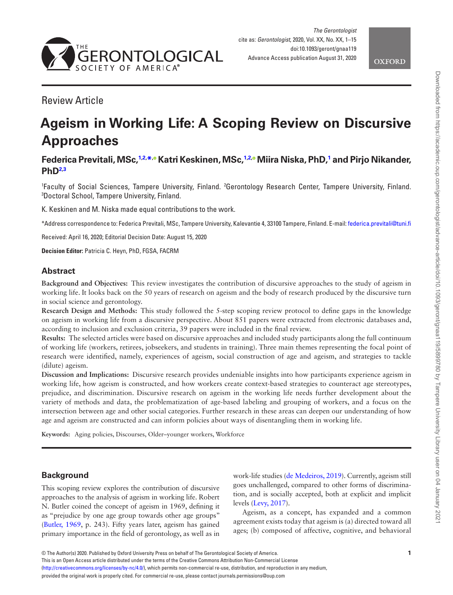



# Review Article

# **Ageism in Working Life: A Scoping Review on Discursive Approaches**

# **Federica Previtali, MSc,[1](#page-0-0)[,2](#page-0-1), [\\*](#page-0-2)[, K](http://orcid.org/0000-0002-4918-1522)atri Keskinen, MSc[,1](#page-0-0)[,2](#page-0-1)[,](http://orcid.org/0000-0003-2755-1366) Miira Niska, PhD[,1](#page-0-0) and Pirjo Nikander, PhD[2](#page-0-1)[,3](#page-0-3)**

<span id="page-0-3"></span><span id="page-0-1"></span><span id="page-0-0"></span>'Faculty of Social Sciences, Tampere University, Finland. <sup>2</sup>Gerontology Research Center, Tampere University, Finland.<br><sup>3</sup>Doctoral School Tampere University Finland Doctoral School, Tampere University, Finland.

K. Keskinen and M. Niska made equal contributions to the work.

<span id="page-0-2"></span>\*Address correspondence to: Federica Previtali, MSc, Tampere University, Kalevantie 4, 33100 Tampere, Finland. E-mail: [federica.previtali@tuni.fi](mailto:federica.previtali@tuni.fi?subject=)

Received: April 16, 2020; Editorial Decision Date: August 15, 2020

**Decision Editor:** Patricia C. Heyn, PhD, FGSA, FACRM

# **Abstract**

**Background and Objectives:** This review investigates the contribution of discursive approaches to the study of ageism in working life. It looks back on the 50 years of research on ageism and the body of research produced by the discursive turn in social science and gerontology.

**Research Design and Methods:** This study followed the 5-step scoping review protocol to define gaps in the knowledge on ageism in working life from a discursive perspective. About 851 papers were extracted from electronic databases and, according to inclusion and exclusion criteria, 39 papers were included in the final review.

**Results:** The selected articles were based on discursive approaches and included study participants along the full continuum of working life (workers, retirees, jobseekers, and students in training). Three main themes representing the focal point of research were identified, namely, experiences of ageism, social construction of age and ageism, and strategies to tackle (dilute) ageism.

**Discussion and Implications:** Discursive research provides undeniable insights into how participants experience ageism in working life, how ageism is constructed, and how workers create context-based strategies to counteract age stereotypes, prejudice, and discrimination. Discursive research on ageism in the working life needs further development about the variety of methods and data, the problematization of age-based labeling and grouping of workers, and a focus on the intersection between age and other social categories. Further research in these areas can deepen our understanding of how age and ageism are constructed and can inform policies about ways of disentangling them in working life.

**Keywords:** Aging policies, Discourses, Older–younger workers, Workforce

# **Background**

This scoping review explores the contribution of discursive approaches to the analysis of ageism in working life. Robert N. Butler coined the concept of ageism in 1969, defining it as "prejudice by one age group towards other age groups" ([Butler, 1969](#page-12-0), p. 243). Fifty years later, ageism has gained primary importance in the field of gerontology, as well as in

work-life studies [\(de Medeiros, 2019](#page-13-0)). Currently, ageism still goes unchallenged, compared to other forms of discrimination, and is socially accepted, both at explicit and implicit levels [\(Levy, 2017\)](#page-13-1).

Ageism, as a concept, has expanded and a common agreement exists today that ageism is (a) directed toward all ages; (b) composed of affective, cognitive, and behavioral

© The Author(s) 2020. Published by Oxford University Press on behalf of The Gerontological Society of America.

This is an Open Access article distributed under the terms of the Creative Commons Attribution Non-Commercial License

([http://creativecommons.org/licenses/by-nc/4.0/\)](http://creativecommons.org/licenses/by-nc/4.0/), which permits non-commercial re-use, distribution, and reproduction in any medium,

provided the original work is properly cited. For commercial re-use, please contact journals.permissions@oup.com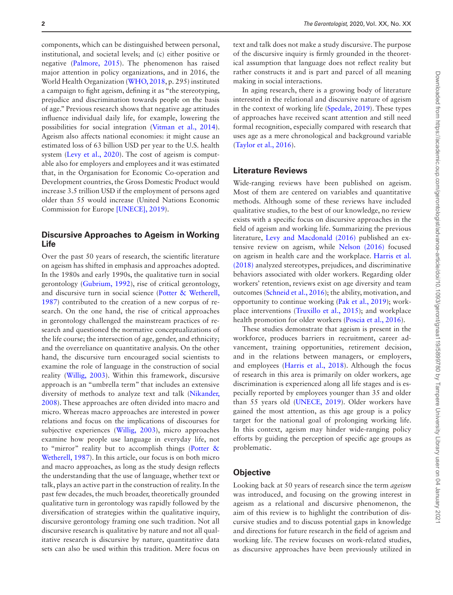components, which can be distinguished between personal, institutional, and societal levels; and (c) either positive or negative [\(Palmore, 2015](#page-13-2)). The phenomenon has raised major attention in policy organizations, and in 2016, the World Health Organization [\(WHO, 2018](#page-14-0), p. 295) instituted a campaign to fight ageism, defining it as "the stereotyping, prejudice and discrimination towards people on the basis of age." Previous research shows that negative age attitudes influence individual daily life, for example, lowering the possibilities for social integration [\(Vitman et al., 2014](#page-14-1)). Ageism also affects national economies: it might cause an estimated loss of 63 billion USD per year to the U.S. health system ([Levy et al., 2020\)](#page-13-3). The cost of ageism is computable also for employers and employees and it was estimated that, in the Organisation for Economic Co-operation and Development countries, the Gross Domestic Product would increase 3.5 trillion USD if the employment of persons aged older than 55 would increase (United Nations Economic Commission for Europe [\[UNECE\], 2019\)](#page-14-2).

# **Discursive Approaches to Ageism in Working Life**

Over the past 50 years of research, the scientific literature on ageism has shifted in emphasis and approaches adopted. In the 1980s and early 1990s, the qualitative turn in social gerontology ([Gubrium, 1992](#page-12-1)), rise of critical gerontology, and discursive turn in social science ([Potter & Wetherell,](#page-13-4)  [1987](#page-13-4)) contributed to the creation of a new corpus of research. On the one hand, the rise of critical approaches in gerontology challenged the mainstream practices of research and questioned the normative conceptualizations of the life course; the intersection of age, gender, and ethnicity; and the overreliance on quantitative analysis. On the other hand, the discursive turn encouraged social scientists to examine the role of language in the construction of social reality [\(Willig, 2003\)](#page-14-3). Within this framework, discursive approach is an "umbrella term" that includes an extensive diversity of methods to analyze text and talk [\(Nikander,](#page-13-5)  [2008](#page-13-5)). These approaches are often divided into macro and micro. Whereas macro approaches are interested in power relations and focus on the implications of discourses for subjective experiences ([Willig, 2003\)](#page-14-3), micro approaches examine how people use language in everyday life, not to "mirror" reality but to accomplish things ([Potter &](#page-13-4)  [Wetherell, 1987\)](#page-13-4). In this article, our focus is on both micro and macro approaches, as long as the study design reflects the understanding that the use of language, whether text or talk, plays an active part in the construction of reality. In the past few decades, the much broader, theoretically grounded qualitative turn in gerontology was rapidly followed by the diversification of strategies within the qualitative inquiry, discursive gerontology framing one such tradition. Not all discursive research is qualitative by nature and not all qualitative research is discursive by nature, quantitative data sets can also be used within this tradition. Mere focus on

text and talk does not make a study discursive. The purpose of the discursive inquiry is firmly grounded in the theoretical assumption that language does not reflect reality but rather constructs it and is part and parcel of all meaning making in social interactions.

In aging research, there is a growing body of literature interested in the relational and discursive nature of ageism in the context of working life [\(Spedale, 2019](#page-14-4)). These types of approaches have received scant attention and still need formal recognition, especially compared with research that uses age as a mere chronological and background variable ([Taylor et al., 2016](#page-14-5)).

#### **Literature Reviews**

Wide-ranging reviews have been published on ageism. Most of them are centered on variables and quantitative methods. Although some of these reviews have included qualitative studies, to the best of our knowledge, no review exists with a specific focus on discursive approaches in the field of ageism and working life. Summarizing the previous literature, [Levy and Macdonald \(2016\)](#page-13-6) published an extensive review on ageism, while [Nelson \(2016\)](#page-13-7) focused on ageism in health care and the workplace. [Harris et al.](#page-12-2)  [\(2018\)](#page-12-2) analyzed stereotypes, prejudices, and discriminative behaviors associated with older workers. Regarding older workers' retention, reviews exist on age diversity and team outcomes ([Schneid et al., 2016\)](#page-14-6); the ability, motivation, and opportunity to continue working ([Pak et al., 2019](#page-13-8)); workplace interventions [\(Truxillo et al., 2015\)](#page-14-7); and workplace health promotion for older workers ([Poscia et al., 2016](#page-13-9)).

These studies demonstrate that ageism is present in the workforce, produces barriers in recruitment, career advancement, training opportunities, retirement decision, and in the relations between managers, or employers, and employees [\(Harris et al., 2018](#page-12-2)). Although the focus of research in this area is primarily on older workers, age discrimination is experienced along all life stages and is especially reported by employees younger than 35 and older than 55 years old ([UNECE, 2019](#page-14-2)). Older workers have gained the most attention, as this age group is a policy target for the national goal of prolonging working life. In this context, ageism may hinder wide-ranging policy efforts by guiding the perception of specific age groups as problematic.

# **Objective**

Looking back at 50 years of research since the term *ageism* was introduced, and focusing on the growing interest in ageism as a relational and discursive phenomenon, the aim of this review is to highlight the contribution of discursive studies and to discuss potential gaps in knowledge and directions for future research in the field of ageism and working life. The review focuses on work-related studies, as discursive approaches have been previously utilized in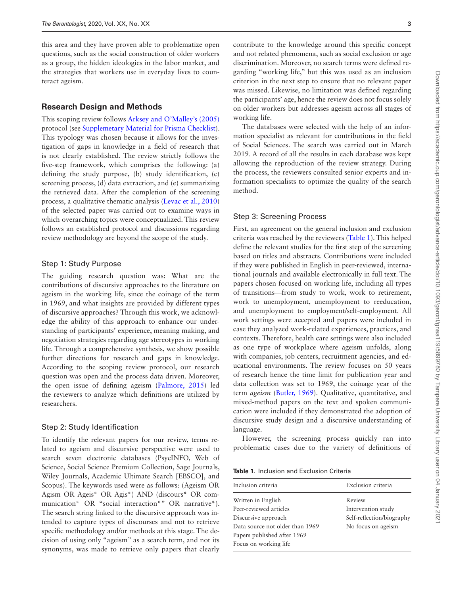this area and they have proven able to problematize open questions, such as the social construction of older workers as a group, the hidden ideologies in the labor market, and the strategies that workers use in everyday lives to counteract ageism.

#### **Research Design and Methods**

This scoping review follows [Arksey and O'Malley's \(2005\)](#page-12-3) protocol (see [Supplemetary Material for Prisma Checklist](https://academic.oup.com/gerontologist/article-lookup/doi/10.1093/geront/gnaa119#supplementary-data)). This typology was chosen because it allows for the investigation of gaps in knowledge in a field of research that is not clearly established. The review strictly follows the five-step framework, which comprises the following: (a) defining the study purpose, (b) study identification, (c) screening process, (d) data extraction, and (e) summarizing the retrieved data. After the completion of the screening process, a qualitative thematic analysis ([Levac et al., 2010\)](#page-13-10) of the selected paper was carried out to examine ways in which overarching topics were conceptualized. This review follows an established protocol and discussions regarding review methodology are beyond the scope of the study.

#### Step 1: Study Purpose

The guiding research question was: What are the contributions of discursive approaches to the literature on ageism in the working life, since the coinage of the term in 1969, and what insights are provided by different types of discursive approaches? Through this work, we acknowledge the ability of this approach to enhance our understanding of participants' experience, meaning making, and negotiation strategies regarding age stereotypes in working life. Through a comprehensive synthesis, we show possible further directions for research and gaps in knowledge. According to the scoping review protocol, our research question was open and the process data driven. Moreover, the open issue of defining ageism ([Palmore, 2015](#page-13-2)) led the reviewers to analyze which definitions are utilized by researchers.

### Step 2: Study Identification

To identify the relevant papers for our review, terms related to ageism and discursive perspective were used to search seven electronic databases (PsycINFO, Web of Science, Social Science Premium Collection, Sage Journals, Wiley Journals, Academic Ultimate Search [EBSCO], and Scopus). The keywords used were as follows: (Ageism OR Agism OR Ageis\* OR Agis\*) AND (discours\* OR communication\* OR "social interaction\*" OR narrative\*). The search string linked to the discursive approach was intended to capture types of discourses and not to retrieve specific methodology and/or methods at this stage. The decision of using only "ageism" as a search term, and not its synonyms, was made to retrieve only papers that clearly

contribute to the knowledge around this specific concept and not related phenomena, such as social exclusion or age discrimination. Moreover, no search terms were defined regarding "working life," but this was used as an inclusion criterion in the next step to ensure that no relevant paper was missed. Likewise, no limitation was defined regarding the participants' age, hence the review does not focus solely on older workers but addresses ageism across all stages of working life.

The databases were selected with the help of an information specialist as relevant for contributions in the field of Social Sciences. The search was carried out in March 2019. A record of all the results in each database was kept allowing the reproduction of the review strategy. During the process, the reviewers consulted senior experts and information specialists to optimize the quality of the search method.

#### Step 3: Screening Process

First, an agreement on the general inclusion and exclusion criteria was reached by the reviewers ([Table 1](#page-2-0)). This helped define the relevant studies for the first step of the screening based on titles and abstracts. Contributions were included if they were published in English in peer-reviewed, international journals and available electronically in full text. The papers chosen focused on working life, including all types of transitions—from study to work, work to retirement, work to unemployment, unemployment to reeducation, and unemployment to employment/self-employment. All work settings were accepted and papers were included in case they analyzed work-related experiences, practices, and contexts. Therefore, health care settings were also included as one type of workplace where ageism unfolds, along with companies, job centers, recruitment agencies, and educational environments. The review focuses on 50 years of research hence the time limit for publication year and data collection was set to 1969, the coinage year of the term *ageism* ([Butler, 1969](#page-12-0)). Qualitative, quantitative, and mixed-method papers on the text and spoken communication were included if they demonstrated the adoption of discursive study design and a discursive understanding of language.

However, the screening process quickly ran into problematic cases due to the variety of definitions of

<span id="page-2-0"></span>

|  | <b>Table 1.</b> Inclusion and Exclusion Criteria |  |  |  |
|--|--------------------------------------------------|--|--|--|
|--|--------------------------------------------------|--|--|--|

| Inclusion criteria              | Exclusion criteria        |
|---------------------------------|---------------------------|
| Written in English              | Review                    |
| Peer-reviewed articles          | Intervention study        |
| Discursive approach             | Self-reflection/biography |
| Data source not older than 1969 | No focus on ageism        |
| Papers published after 1969     |                           |
| Focus on working life           |                           |
|                                 |                           |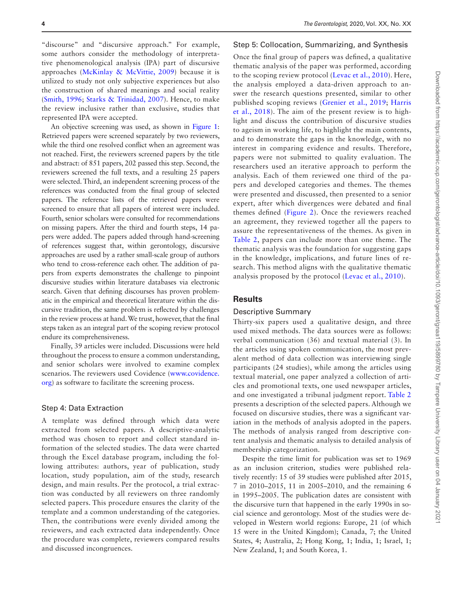"discourse" and "discursive approach." For example, some authors consider the methodology of interpretative phenomenological analysis (IPA) part of discursive approaches [\(McKinlay & McVittie, 2009](#page-13-11)) because it is utilized to study not only subjective experiences but also the construction of shared meanings and social reality ([Smith, 1996;](#page-14-8) [Starks & Trinidad, 2007](#page-14-9)). Hence, to make the review inclusive rather than exclusive, studies that represented IPA were accepted.

An objective screening was used, as shown in [Figure 1](#page-7-0): Retrieved papers were screened separately by two reviewers, while the third one resolved conflict when an agreement was not reached. First, the reviewers screened papers by the title and abstract: of 851 papers, 202 passed this step. Second, the reviewers screened the full texts, and a resulting 25 papers were selected. Third, an independent screening process of the references was conducted from the final group of selected papers. The reference lists of the retrieved papers were screened to ensure that all papers of interest were included. Fourth, senior scholars were consulted for recommendations on missing papers. After the third and fourth steps, 14 papers were added. The papers added through hand-screening of references suggest that, within gerontology, discursive approaches are used by a rather small-scale group of authors who tend to cross-reference each other. The addition of papers from experts demonstrates the challenge to pinpoint discursive studies within literature databases via electronic search. Given that defining discourses has proven problematic in the empirical and theoretical literature within the discursive tradition, the same problem is reflected by challenges in the review process at hand. We trust, however, that the final steps taken as an integral part of the scoping review protocol endure its comprehensiveness.

Finally, 39 articles were included. Discussions were held throughout the process to ensure a common understanding, and senior scholars were involved to examine complex scenarios. The reviewers used Covidence ([www.covidence.](http://www.covidence.org) [org](http://www.covidence.org)) as software to facilitate the screening process.

#### Step 4: Data Extraction

A template was defined through which data were extracted from selected papers. A descriptive-analytic method was chosen to report and collect standard information of the selected studies. The data were charted through the Excel database program, including the following attributes: authors, year of publication, study location, study population, aim of the study, research design, and main results. Per the protocol, a trial extraction was conducted by all reviewers on three randomly selected papers. This procedure ensures the clarity of the template and a common understanding of the categories. Then, the contributions were evenly divided among the reviewers, and each extracted data independently. Once the procedure was complete, reviewers compared results and discussed incongruences.

#### Step 5: Collocation, Summarizing, and Synthesis

Once the final group of papers was defined, a qualitative thematic analysis of the paper was performed, according to the scoping review protocol [\(Levac et al., 2010](#page-13-10)). Here, the analysis employed a data-driven approach to answer the research questions presented, similar to other published scoping reviews ([Grenier et al., 2019;](#page-12-4) [Harris](#page-12-2)  [et al., 2018\)](#page-12-2). The aim of the present review is to highlight and discuss the contribution of discursive studies to ageism in working life, to highlight the main contents, and to demonstrate the gaps in the knowledge, with no interest in comparing evidence and results. Therefore, papers were not submitted to quality evaluation. The researchers used an iterative approach to perform the analysis. Each of them reviewed one third of the papers and developed categories and themes. The themes were presented and discussed, then presented to a senior expert, after which divergences were debated and final themes defined ([Figure 2\)](#page-7-1). Once the reviewers reached an agreement, they reviewed together all the papers to assure the representativeness of the themes. As given in [Table 2](#page-4-0), papers can include more than one theme. The thematic analysis was the foundation for suggesting gaps in the knowledge, implications, and future lines of research. This method aligns with the qualitative thematic analysis proposed by the protocol [\(Levac et al., 2010](#page-13-10)).

#### **Results**

#### Descriptive Summary

Thirty-six papers used a qualitative design, and three used mixed methods. The data sources were as follows: verbal communication (36) and textual material (3). In the articles using spoken communication, the most prevalent method of data collection was interviewing single participants (24 studies), while among the articles using textual material, one paper analyzed a collection of articles and promotional texts, one used newspaper articles, and one investigated a tribunal judgment report. [Table 2](#page-4-0) presents a description of the selected papers. Although we focused on discursive studies, there was a significant variation in the methods of analysis adopted in the papers. The methods of analysis ranged from descriptive content analysis and thematic analysis to detailed analysis of membership categorization.

Despite the time limit for publication was set to 1969 as an inclusion criterion, studies were published relatively recently: 15 of 39 studies were published after 2015, 7 in 2010–2015, 11 in 2005–2010, and the remaining 6 in 1995–2005. The publication dates are consistent with the discursive turn that happened in the early 1990s in social science and gerontology. Most of the studies were developed in Western world regions: Europe, 21 (of which 15 were in the United Kingdom); Canada, 7; the United States, 4; Australia, 2; Hong Kong, 1; India, 1; Israel, 1; New Zealand, 1; and South Korea, 1.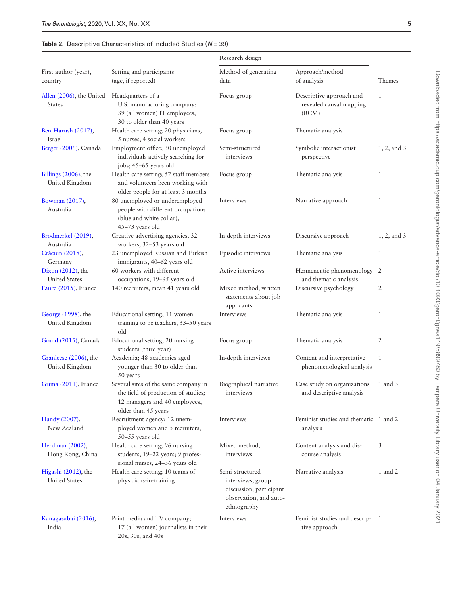<span id="page-4-0"></span>

|                                             |                                                                                                                                     | Research design                                                                                          |                                                              |                |
|---------------------------------------------|-------------------------------------------------------------------------------------------------------------------------------------|----------------------------------------------------------------------------------------------------------|--------------------------------------------------------------|----------------|
| First author (year),<br>country             | Setting and participants<br>(age, if reported)                                                                                      | Method of generating<br>data                                                                             | Approach/method<br>of analysis                               | Themes         |
| Allen (2006), the United<br><b>States</b>   | Headquarters of a<br>U.S. manufacturing company;<br>39 (all women) IT employees,<br>30 to older than 40 years                       | Focus group                                                                                              | Descriptive approach and<br>revealed causal mapping<br>(RCM) | $\mathbf{1}$   |
| Ben-Harush (2017),<br><b>Israel</b>         | Health care setting; 20 physicians,<br>5 nurses, 4 social workers                                                                   | Focus group                                                                                              | Thematic analysis                                            |                |
| Berger (2006), Canada                       | Employment office; 30 unemployed<br>individuals actively searching for<br>jobs; 45-65 years old                                     | Semi-structured<br>interviews                                                                            | Symbolic interactionist<br>perspective                       | $1, 2,$ and 3  |
| Billings $(2006)$ , the<br>United Kingdom   | Health care setting; 57 staff members<br>and volunteers been working with<br>older people for at least 3 months                     | Focus group                                                                                              | Thematic analysis                                            | $\mathbf{1}$   |
| Bowman (2017),<br>Australia                 | 80 unemployed or underemployed<br>people with different occupations<br>(blue and white collar),<br>45-73 years old                  | Interviews                                                                                               | Narrative approach                                           | $\mathbf{1}$   |
| Brodmerkel (2019),<br>Australia             | Creative advertising agencies, 32<br>workers, 32-53 years old                                                                       | In-depth interviews                                                                                      | Discursive approach                                          | $1, 2,$ and 3  |
| Crăciun (2018),<br>Germany                  | 23 unemployed Russian and Turkish<br>immigrants, 40-62 years old                                                                    | Episodic interviews                                                                                      | Thematic analysis                                            | $\mathbf{1}$   |
| Dixon (2012), the<br><b>United States</b>   | 60 workers with different<br>occupations, 19-65 years old                                                                           | Active interviews                                                                                        | Hermeneutic phenomenology<br>and thematic analysis           | $\overline{2}$ |
| Faure (2015), France                        | 140 recruiters, mean 41 years old                                                                                                   | Mixed method, written<br>statements about job<br>applicants                                              | Discursive psychology                                        | 2              |
| George (1998), the<br>United Kingdom        | Educational setting; 11 women<br>training to be teachers, 33-50 years<br>old                                                        | Interviews                                                                                               | Thematic analysis                                            | $\mathbf{1}$   |
| Gould (2015), Canada                        | Educational setting; 20 nursing<br>students (third year)                                                                            | Focus group                                                                                              | Thematic analysis                                            | 2              |
| Granleese (2006), the<br>United Kingdom     | Academia; 48 academics aged<br>younger than 30 to older than<br>50 years                                                            | In-depth interviews                                                                                      | Content and interpretative<br>phenomenological analysis      | $\mathbf{1}$   |
| Grima (2011), France                        | Several sites of the same company in<br>the field of production of studies;<br>12 managers and 40 employees,<br>older than 45 years | Biographical narrative<br>interviews                                                                     | Case study on organizations<br>and descriptive analysis      | 1 and 3        |
| Handy (2007),<br>New Zealand                | Recruitment agency; 12 unem-<br>ployed women and 5 recruiters,<br>50-55 years old                                                   | Interviews                                                                                               | Feminist studies and thematic 1 and 2<br>analysis            |                |
| Herdman (2002),<br>Hong Kong, China         | Health care setting; 96 nursing<br>students, 19-22 years; 9 profes-<br>sional nurses, 24-36 years old                               | Mixed method,<br>interviews                                                                              | Content analysis and dis-<br>course analysis                 | 3              |
| Higashi (2012), the<br><b>United States</b> | Health care setting; 10 teams of<br>physicians-in-training                                                                          | Semi-structured<br>interviews, group<br>discussion, participant<br>observation, and auto-<br>ethnography | Narrative analysis                                           | 1 and 2        |
| Kanagasabai (2016),<br>India                | Print media and TV company;<br>17 (all women) journalists in their<br>20s, 30s, and 40s                                             | Interviews                                                                                               | Feminist studies and descrip-1<br>tive approach              |                |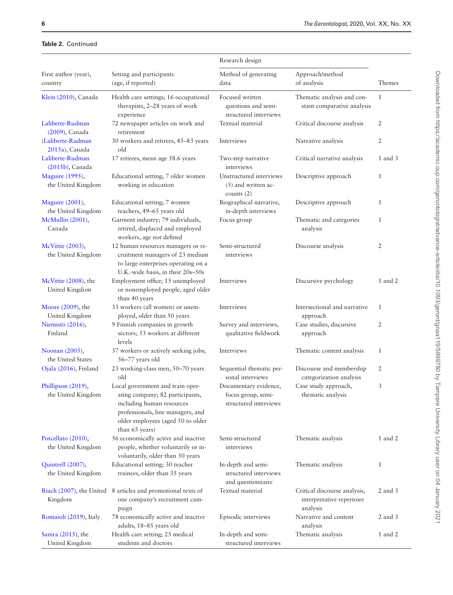|                                          |                                                                                                                                                                                              | Research design                                                      |                                                                       |              |
|------------------------------------------|----------------------------------------------------------------------------------------------------------------------------------------------------------------------------------------------|----------------------------------------------------------------------|-----------------------------------------------------------------------|--------------|
| First author (year),<br>country          | Setting and participants<br>(age, if reported)                                                                                                                                               | Method of generating<br>data                                         | Approach/method<br>of analysis                                        | Themes       |
| Klein (2010), Canada                     | Health care settings; 16 occupational<br>therapists, 2-28 years of work<br>experience                                                                                                        | Focused written<br>questions and semi-<br>structured interviews      | Thematic analysis and con-<br>stant comparative analysis              | $\mathbf{1}$ |
| Laliberte-Rudman<br>(2009), Canada       | 72 newspaper articles on work and<br>retirement                                                                                                                                              | Textual material                                                     | Critical discourse analysis                                           | 2            |
| (Laliberte-Rudman<br>2015a), Canada      | 30 workers and retirees, 45-83 years<br>old                                                                                                                                                  | Interviews                                                           | Narrative analysis                                                    | 2            |
| Laliberte-Rudman<br>$(2015b)$ , Canada   | 17 retirees, mean age 58.6 years                                                                                                                                                             | Two-step narrative<br>interviews                                     | Critical narrative analysis                                           | 1 and 3      |
| Maguire (1995),<br>the United Kingdom    | Educational setting; 7 older women<br>working in education                                                                                                                                   | Unstructured interviews<br>$(5)$ and written ac-<br>counts $(2)$     | Descriptive approach                                                  | $\mathbf{1}$ |
| Maguire (2001),<br>the United Kingdom    | Educational setting; 7 women<br>teachers, 49-65 years old                                                                                                                                    | Biographical narrative,<br>in-depth interviews                       | Descriptive approach                                                  | $\mathbf{1}$ |
| McMullin (2001),<br>Canada               | Garment industry; 79 individuals,<br>retired, displaced and employed<br>workers, age not defined                                                                                             | Focus group                                                          | Thematic and categories<br>analysis                                   | $\mathbf{1}$ |
| McVittie (2003),<br>the United Kingdom   | 12 human resources managers or re-<br>cruitment managers of 23 medium<br>to large enterprises operating on a<br>U.K.-wide basis, in their 20s-50s                                            | Semi-structured<br>interviews                                        | Discourse analysis                                                    | 2            |
| McVittie (2008), the<br>United Kingdom   | Employment office; 15 unemployed<br>or nonemployed people, aged older<br>than 40 years                                                                                                       | Interviews                                                           | Discursive psychology                                                 | 1 and 2      |
| Moore (2009), the<br>United Kingdom      | 33 workers (all women) or unem-<br>ployed, older than 50 years                                                                                                                               | Interviews                                                           | Intersectional and narrative<br>approach                              | $\mathbf{1}$ |
| Niemistö (2016),<br>Finland              | 9 Finnish companies in growth<br>sectors; 53 workers at different<br>levels                                                                                                                  | Survey and interviews,<br>qualitative fieldwork                      | Case studies, discursive<br>approach                                  | 2            |
| Noonan (2005),<br>the United States      | 37 workers or actively seeking jobs;<br>56-77 years old                                                                                                                                      | Interviews                                                           | Thematic content analysis                                             | $\mathbf{1}$ |
| Ojala (2016), Finland                    | 23 working-class men, 50-70 years<br>old                                                                                                                                                     | Sequential thematic per-<br>sonal interviews                         | Discourse and membership<br>categorization analysis                   | 2            |
| Phillipson (2019),<br>the United Kingdom | Local government and train oper-<br>ating company; 82 participants,<br>including human resources<br>professionals, line managers, and<br>older employees (aged 50 to older<br>than 65 years) | Documentary evidence,<br>focus group, semi-<br>structured interviews | Case study approach,<br>thematic analysis                             | 3            |
| Porcellato (2010),<br>the United Kingdom | 56 economically active and inactive<br>people, whether voluntarily or in-<br>voluntarily, older than 50 years                                                                                | Semi-structured<br>interviews                                        | Thematic analysis                                                     | 1 and 2      |
| Quintrell (2007),<br>the United Kingdom  | Educational setting; 30 teacher<br>trainees, older than 35 years                                                                                                                             | In-depth and semi-<br>structured interviews<br>and questionnaire     | Thematic analysis                                                     | $\mathbf{1}$ |
| Kingdom                                  | Riach (2007), the United 8 articles and promotional texts of<br>one company's recruitment cam-<br>paign                                                                                      | Textual material                                                     | Critical discourse analysis,<br>interpretative repertoire<br>analysis | $2$ and $3$  |
| Romaioli (2019), Italy                   | 78 economically active and inactive<br>adults, 18-85 years old                                                                                                                               | Episodic interviews                                                  | Narrative and content<br>analysis                                     | $2$ and $3$  |
| Samra (2015), the<br>United Kingdom      | Health care setting; 25 medical<br>students and doctors                                                                                                                                      | In-depth and semi-<br>structured interviews                          | Thematic analysis                                                     | 1 and 2      |

#### **Table 2.** Continued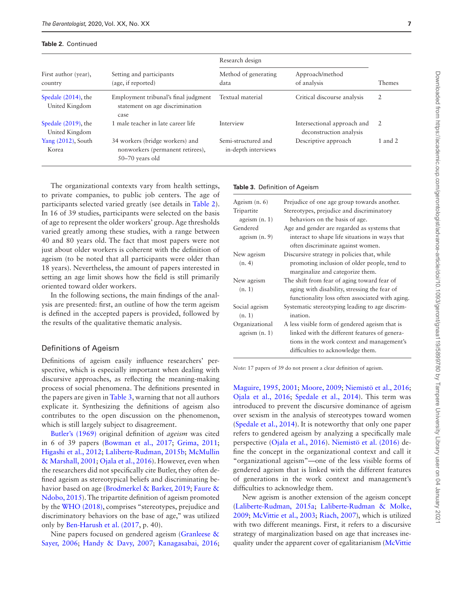#### **Table 2.** Continued

| First author (year),<br>country          | Setting and participants<br>(age, if reported)                                           | Research design                            |                                                        |         |
|------------------------------------------|------------------------------------------------------------------------------------------|--------------------------------------------|--------------------------------------------------------|---------|
|                                          |                                                                                          | Method of generating<br>data               | Approach/method<br>of analysis                         | Themes  |
| Spedale $(2014)$ , the<br>United Kingdom | Employment tribunal's final judgment<br>statement on age discrimination<br>case          | Textual material                           | Critical discourse analysis                            | 2       |
| Spedale $(2019)$ , the<br>United Kingdom | 1 male teacher in late career life                                                       | Interview                                  | Intersectional approach and<br>deconstruction analysis | -2      |
| Yang $(2012)$ , South<br>Korea           | 34 workers (bridge workers) and<br>nonworkers (permanent retirees),<br>$50-70$ years old | Semi-structured and<br>in-depth interviews | Descriptive approach                                   | 1 and 2 |

The organizational contexts vary from health settings, to private companies, to public job centers. The age of participants selected varied greatly (see details in [Table 2](#page-4-0)). In 16 of 39 studies, participants were selected on the basis of age to represent the older workers' group. Age thresholds varied greatly among these studies, with a range between 40 and 80 years old. The fact that most papers were not just about older workers is coherent with the definition of ageism (to be noted that all participants were older than 18 years). Nevertheless, the amount of papers interested in setting an age limit shows how the field is still primarily oriented toward older workers.

In the following sections, the main findings of the analysis are presented: first, an outline of how the term ageism is defined in the accepted papers is provided, followed by the results of the qualitative thematic analysis.

#### Definitions of Ageism

Definitions of ageism easily influence researchers' perspective, which is especially important when dealing with discursive approaches, as reflecting the meaning-making process of social phenomena. The definitions presented in the papers are given in [Table 3,](#page-6-0) warning that not all authors explicate it. Synthesizing the definitions of ageism also contributes to the open discussion on the phenomenon, which is still largely subject to disagreement.

[Butler's \(1969\)](#page-12-0) original definition of *ageism* was cited in 6 of 39 papers ([Bowman et al., 2017](#page-12-9); [Grima, 2011](#page-12-17); [Higashi et al., 2012;](#page-13-12) [Laliberte-Rudman, 2015b;](#page-13-17) [McMullin](#page-13-20)  [& Marshall, 2001](#page-13-20); [Ojala et al., 2016\)](#page-13-26). However, even when the researchers did not specifically cite Butler, they often defined ageism as stereotypical beliefs and discriminating behavior based on age [\(Brodmerkel & Barker, 2019](#page-12-10); [Faure &](#page-12-13)  [Ndobo, 2015\)](#page-12-13). The tripartite definition of ageism promoted by the [WHO \(2018\),](#page-14-0) comprises "stereotypes, prejudice and discriminatory behaviors on the base of age," was utilized only by [Ben-Harush et al. \(2017,](#page-12-6) p. 40).

Nine papers focused on gendered ageism ([Granleese &](#page-12-16)  [Sayer, 2006](#page-12-16); [Handy & Davy, 2007](#page-12-18); [Kanagasabai, 2016](#page-13-13);

#### <span id="page-6-0"></span>**Table 3.** Definition of Ageism

| Prejudice of one age group towards another.     |
|-------------------------------------------------|
| Stereotypes, prejudice and discriminatory       |
| behaviors on the basis of age.                  |
| Age and gender are regarded as systems that     |
| interact to shape life situations in ways that  |
| often discriminate against women.               |
| Discursive strategy in policies that, while     |
| promoting inclusion of older people, tend to    |
| marginalize and categorize them.                |
| The shift from fear of aging toward fear of     |
| aging with disability, stressing the fear of    |
| functionality loss often associated with aging. |
| Systematic stereotyping leading to age discrim- |
| ination.                                        |
| A less visible form of gendered ageism that is  |
| linked with the different features of genera-   |
| tions in the work context and management's      |
| difficulties to acknowledge them.               |
|                                                 |

*Note:* 17 papers of 39 do not present a clear definition of ageism.

[Maguire, 1995,](#page-13-18) [2001](#page-13-19); [Moore, 2009](#page-13-23); [Niemistö et al., 2016](#page-13-24); [Ojala et al., 2016](#page-13-26); [Spedale et al., 2014](#page-14-13)). This term was introduced to prevent the discursive dominance of ageism over sexism in the analysis of stereotypes toward women ([Spedale et al., 2014\)](#page-14-13). It is noteworthy that only one paper refers to gendered ageism by analyzing a specifically male perspective ([Ojala et al., 2016\)](#page-13-26). [Niemistö et al. \(2016\)](#page-13-24) define the concept in the organizational context and call it "organizational ageism"—one of the less visible forms of gendered ageism that is linked with the different features of generations in the work context and management's difficulties to acknowledge them.

New ageism is another extension of the ageism concept ([Laliberte-Rudman, 2015a](#page-13-16); [Laliberte-Rudman & Molke,](#page-13-15)  [2009;](#page-13-15) [McVittie et al., 2003;](#page-13-21) [Riach, 2007](#page-14-10)), which is utilized with two different meanings. First, it refers to a discursive strategy of marginalization based on age that increases inequality under the apparent cover of egalitarianism [\(McVittie](#page-13-21)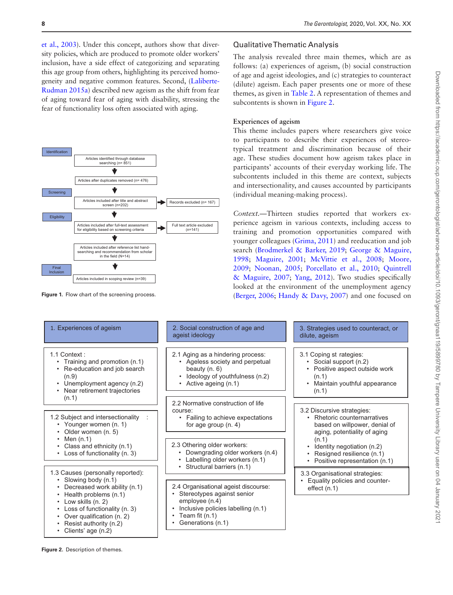[et al., 2003](#page-13-21)). Under this concept, authors show that diversity policies, which are produced to promote older workers' inclusion, have a side effect of categorizing and separating this age group from others, highlighting its perceived homogeneity and negative common features. Second, [\(Laliberte-](#page-13-16)[Rudman 2015a\)](#page-13-16) described new ageism as the shift from fear of aging toward fear of aging with disability, stressing the fear of functionality loss often associated with aging.



<span id="page-7-0"></span>**Figure 1.** Flow chart of the screening process.

#### Qualitative Thematic Analysis

The analysis revealed three main themes, which are as follows: (a) experiences of ageism, (b) social construction of age and ageist ideologies, and (c) strategies to counteract (dilute) ageism. Each paper presents one or more of these themes, as given in [Table 2](#page-4-0). A representation of themes and subcontents is shown in [Figure 2](#page-7-1).

#### **Experiences of ageism**

This theme includes papers where researchers give voice to participants to describe their experiences of stereotypical treatment and discrimination because of their age. These studies document how ageism takes place in participants' accounts of their everyday working life. The subcontents included in this theme are context, subjects and intersectionality, and causes accounted by participants (individual meaning-making process).

*Context.*—Thirteen studies reported that workers experience ageism in various contexts, including access to training and promotion opportunities compared with younger colleagues ([Grima, 2011](#page-12-17)) and reeducation and job search ([Brodmerkel & Barker, 2019](#page-12-10); [George & Maguire,](#page-12-14)  [1998](#page-12-14); [Maguire, 2001](#page-13-19); [McVittie et al., 2008](#page-13-22); [Moore,](#page-13-23)  [2009](#page-13-23); [Noonan, 2005](#page-13-25); [Porcellato et al., 2010;](#page-13-28) [Quintrell](#page-13-29)  [& Maguire, 2007;](#page-13-29) [Yang, 2012\)](#page-14-14). Two studies specifically looked at the environment of the unemployment agency ([Berger, 2006](#page-12-7); [Handy & Davy, 2007\)](#page-12-18) and one focused on

| 2. Social construction of age and<br>ageist ideology                                                                                                              | 3. Strategies used to counteract, or<br>dilute, ageism                                                                              |  |
|-------------------------------------------------------------------------------------------------------------------------------------------------------------------|-------------------------------------------------------------------------------------------------------------------------------------|--|
| 2.1 Aging as a hindering process:<br>Ageless society and perpetual<br>beauty $(n, 6)$<br>Ideology of youthfulness (n.2)<br>• Active ageing $(n.1)$                | 3.1 Coping st rategies:<br>• Social support (n.2)<br>Positive aspect outside work<br>(n.1)<br>Maintain youthful appearance<br>(n.1) |  |
| 2.2 Normative construction of life                                                                                                                                | 3.2 Discursive strategies:                                                                                                          |  |
| Failing to achieve expectations<br>$\bullet$<br>for age group $(n. 4)$                                                                                            | Rhetoric counternarratives<br>based on willpower, denial of<br>aging, potentiality of aging                                         |  |
| 2.3 Othering older workers:<br>Downgrading older workers (n.4)<br>Labelling older workers (n.1)                                                                   | (n.1)<br>Identity negotiation (n.2)<br>Resigned resilience (n.1)<br>Positive representation (n.1)<br>٠                              |  |
|                                                                                                                                                                   | 3.3 Organisational strategies:                                                                                                      |  |
| 2.4 Organisational ageist discourse:<br>Stereotypes against senior<br>employee (n.4)<br>Inclusive policies labelling (n.1)<br>Team fit (n.1)<br>Generations (n.1) | Equality policies and counter-<br>effect $(n.1)$                                                                                    |  |
|                                                                                                                                                                   | course:<br>• Structural barriers (n.1)                                                                                              |  |

<span id="page-7-1"></span>**Figure 2.** Description of themes.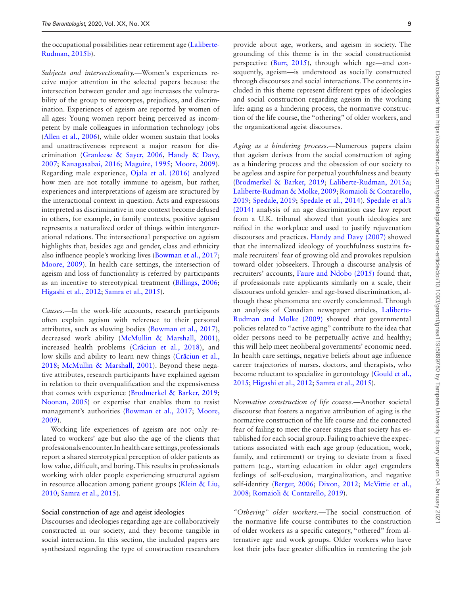the occupational possibilities near retirement age [\(Laliberte-](#page-13-17)[Rudman, 2015b\)](#page-13-17).

*Subjects and intersectionality.*—Women's experiences receive major attention in the selected papers because the intersection between gender and age increases the vulnerability of the group to stereotypes, prejudices, and discrimination. Experiences of ageism are reported by women of all ages: Young women report being perceived as incompetent by male colleagues in information technology jobs ([Allen et al., 2006\)](#page-12-5), while older women sustain that looks and unattractiveness represent a major reason for discrimination ([Granleese & Sayer, 2006,](#page-12-16) [Handy & Davy,](#page-12-18)  [2007](#page-12-18); [Kanagasabai, 2016](#page-13-13); [Maguire, 1995](#page-13-18); [Moore, 2009](#page-13-23)). Regarding male experience, [Ojala et al. \(2016\)](#page-13-26) analyzed how men are not totally immune to ageism, but rather, experiences and interpretations of ageism are structured by the interactional context in question. Acts and expressions interpreted as discriminative in one context become defused in others, for example, in family contexts, positive ageism represents a naturalized order of things within intergenerational relations. The intersectional perspective on ageism highlights that, besides age and gender, class and ethnicity also influence people's working lives ([Bowman et al., 2017](#page-12-9); [Moore, 2009](#page-13-23)). In health care settings, the intersection of ageism and loss of functionality is referred by participants as an incentive to stereotypical treatment [\(Billings, 2006](#page-12-8); [Higashi et al., 2012;](#page-13-12) [Samra et al., 2015\)](#page-14-12).

*Causes.*—In the work-life accounts, research participants often explain ageism with reference to their personal attributes, such as slowing bodies ([Bowman et al., 2017](#page-12-9)), decreased work ability ([McMullin & Marshall, 2001](#page-13-20)), increased health problems (Cră[ciun et al., 2018\)](#page-12-11), and low skills and ability to learn new things (Crăciun et al., [2018](#page-12-11); [McMullin & Marshall, 2001\)](#page-13-20). Beyond these negative attributes, research participants have explained ageism in relation to their overqualification and the expensiveness that comes with experience ([Brodmerkel & Barker, 2019](#page-12-10); [Noonan, 2005\)](#page-13-25) or expertise that enables them to resist management's authorities ([Bowman et al., 2017](#page-12-9); [Moore,](#page-13-23)  [2009](#page-13-23)).

Working life experiences of ageism are not only related to workers' age but also the age of the clients that professionals encounter. In health care settings, professionals report a shared stereotypical perception of older patients as low value, difficult, and boring. This results in professionals working with older people experiencing structural ageism in resource allocation among patient groups ([Klein & Liu,](#page-13-14)  [2010](#page-13-14); [Samra et al., 2015\)](#page-14-12).

#### **Social construction of age and ageist ideologies**

Discourses and ideologies regarding age are collaboratively constructed in our society, and they become tangible in social interaction. In this section, the included papers are synthesized regarding the type of construction researchers

provide about age, workers, and ageism in society. The grounding of this theme is in the social constructionist perspective [\(Burr, 2015\)](#page-12-20), through which age—and consequently, ageism—is understood as socially constructed through discourses and social interactions. The contents included in this theme represent different types of ideologies and social construction regarding ageism in the working life: aging as a hindering process, the normative construction of the life course, the "othering" of older workers, and the organizational ageist discourses.

*Aging as a hindering process.*—Numerous papers claim that ageism derives from the social construction of aging as a hindering process and the obsession of our society to be ageless and aspire for perpetual youthfulness and beauty ([Brodmerkel & Barker, 2019;](#page-12-10) [Laliberte-Rudman, 2015a](#page-13-16); [Laliberte-Rudman & Molke, 2009](#page-13-15); [Romaioli & Contarello,](#page-14-11)  [2019](#page-14-11); [Spedale, 2019](#page-14-4); [Spedale et al., 2014](#page-14-13)). [Spedale et al.'s](#page-14-13)  [\(2014\)](#page-14-13) analysis of an age discrimination case law report from a U.K. tribunal showed that youth ideologies are reified in the workplace and used to justify rejuvenation discourses and practices. [Handy and Davy \(2007\)](#page-12-18) showed that the internalized ideology of youthfulness sustains female recruiters' fear of growing old and provokes repulsion toward older jobseekers. Through a discourse analysis of recruiters' accounts, [Faure and Ndobo \(2015\)](#page-12-13) found that, if professionals rate applicants similarly on a scale, their discourses unfold gender- and age-based discrimination, although these phenomena are overtly condemned. Through an analysis of Canadian newspaper articles, [Laliberte-](#page-13-15)[Rudman and Molke \(2009\)](#page-13-15) showed that governmental policies related to "active aging" contribute to the idea that older persons need to be perpetually active and healthy; this will help meet neoliberal governments' economic need. In health care settings, negative beliefs about age influence career trajectories of nurses, doctors, and therapists, who become reluctant to specialize in gerontology [\(Gould et al.,](#page-12-15)  [2015](#page-12-15); [Higashi et al., 2012;](#page-13-12) [Samra et al., 2015](#page-14-12)).

*Normative construction of life course.*—Another societal discourse that fosters a negative attribution of aging is the normative construction of the life course and the connected fear of failing to meet the career stages that society has established for each social group. Failing to achieve the expectations associated with each age group (education, work, family, and retirement) or trying to deviate from a fixed pattern (e.g., starting education in older age) engenders feelings of self-exclusion, marginalization, and negative self-identity ([Berger, 2006](#page-12-7); [Dixon, 2012](#page-12-12); [McVittie et al.,](#page-13-22)  [2008](#page-13-22); [Romaioli & Contarello, 2019](#page-14-11)).

*"Othering" older workers.*—The social construction of the normative life course contributes to the construction of older workers as a specific category, "othered" from alternative age and work groups. Older workers who have lost their jobs face greater difficulties in reentering the job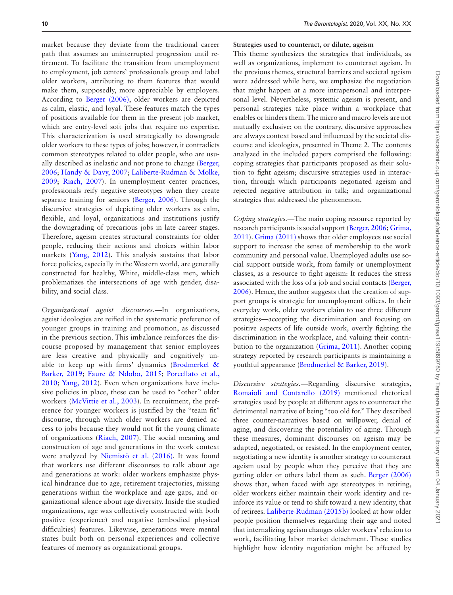market because they deviate from the traditional career path that assumes an uninterrupted progression until retirement. To facilitate the transition from unemployment to employment, job centers' professionals group and label older workers, attributing to them features that would make them, supposedly, more appreciable by employers. According to [Berger \(2006\),](#page-12-7) older workers are depicted as calm, elastic, and loyal. These features match the types of positions available for them in the present job market, which are entry-level soft jobs that require no expertise. This characterization is used strategically to downgrade older workers to these types of jobs; however, it contradicts common stereotypes related to older people, who are usually described as inelastic and not prone to change ([Berger,](#page-12-7)  [2006](#page-12-7); [Handy & Davy, 2007;](#page-12-18) [Laliberte-Rudman & Molke,](#page-13-15)  [2009](#page-13-15); [Riach, 2007\)](#page-14-10). In unemployment center practices, professionals reify negative stereotypes when they create separate training for seniors [\(Berger, 2006\)](#page-12-7). Through the discursive strategies of depicting older workers as calm, flexible, and loyal, organizations and institutions justify the downgrading of precarious jobs in late career stages. Therefore, ageism creates structural constraints for older people, reducing their actions and choices within labor markets [\(Yang, 2012](#page-14-14)). This analysis sustains that labor force policies, especially in the Western world, are generally constructed for healthy, White, middle-class men, which problematizes the intersections of age with gender, disability, and social class.

*Organizational ageist discourses.*—In organizations, ageist ideologies are reified in the systematic preference of younger groups in training and promotion, as discussed in the previous section. This imbalance reinforces the discourse proposed by management that senior employees are less creative and physically and cognitively unable to keep up with firms' dynamics (Brodmerkel  $\&$ [Barker, 2019](#page-12-10); [Faure & Ndobo, 2015](#page-12-13); [Porcellato et al.,](#page-13-28)  [2010;](#page-13-28) [Yang, 2012](#page-14-14)). Even when organizations have inclusive policies in place, these can be used to "other" older workers ([McVittie et al., 2003](#page-13-21)). In recruitment, the preference for younger workers is justified by the "team fit" discourse, through which older workers are denied access to jobs because they would not fit the young climate of organizations ([Riach, 2007\)](#page-14-10). The social meaning and construction of age and generations in the work context were analyzed by [Niemistö et al. \(2016\)](#page-13-24). It was found that workers use different discourses to talk about age and generations at work: older workers emphasize physical hindrance due to age, retirement trajectories, missing generations within the workplace and age gaps, and organizational silence about age diversity. Inside the studied organizations, age was collectively constructed with both positive (experience) and negative (embodied physical difficulties) features. Likewise, generations were mental states built both on personal experiences and collective features of memory as organizational groups.

#### **Strategies used to counteract, or dilute, ageism**

This theme synthesizes the strategies that individuals, as well as organizations, implement to counteract ageism. In the previous themes, structural barriers and societal ageism were addressed while here, we emphasize the negotiation that might happen at a more intrapersonal and interpersonal level. Nevertheless, systemic ageism is present, and personal strategies take place within a workplace that enables or hinders them. The micro and macro levels are not mutually exclusive; on the contrary, discursive approaches are always context based and influenced by the societal discourse and ideologies, presented in Theme 2. The contents analyzed in the included papers comprised the following: coping strategies that participants proposed as their solution to fight ageism; discursive strategies used in interaction, through which participants negotiated ageism and rejected negative attribution in talk; and organizational strategies that addressed the phenomenon.

*Coping strategies.*—The main coping resource reported by research participants is social support ([Berger, 2006](#page-12-7); [Grima,](#page-12-17)  [2011](#page-12-17)). [Grima \(2011\)](#page-12-17) shows that older employees use social support to increase the sense of membership to the work community and personal value. Unemployed adults use social support outside work, from family or unemployment classes, as a resource to fight ageism: It reduces the stress associated with the loss of a job and social contacts ([Berger,](#page-12-7)  [2006](#page-12-7)). Hence, the author suggests that the creation of support groups is strategic for unemployment offices. In their everyday work, older workers claim to use three different strategies—accepting the discrimination and focusing on positive aspects of life outside work, overtly fighting the discrimination in the workplace, and valuing their contribution to the organization ([Grima, 2011](#page-12-17)). Another coping strategy reported by research participants is maintaining a youthful appearance [\(Brodmerkel & Barker, 2019\)](#page-12-10).

*Discursive strategies.*—Regarding discursive strategies, [Romaioli and Contarello \(2019\)](#page-14-11) mentioned rhetorical strategies used by people at different ages to counteract the detrimental narrative of being "too old for." They described three counter-narratives based on willpower, denial of aging, and discovering the potentiality of aging. Through these measures, dominant discourses on ageism may be adapted, negotiated, or resisted. In the employment center, negotiating a new identity is another strategy to counteract ageism used by people when they perceive that they are getting older or others label them as such. [Berger \(2006\)](#page-12-7) shows that, when faced with age stereotypes in retiring, older workers either maintain their work identity and reinforce its value or tend to shift toward a new identity, that of retirees. [Laliberte-Rudman \(2015b\)](#page-13-17) looked at how older people position themselves regarding their age and noted that internalizing ageism changes older workers' relation to work, facilitating labor market detachment. These studies highlight how identity negotiation might be affected by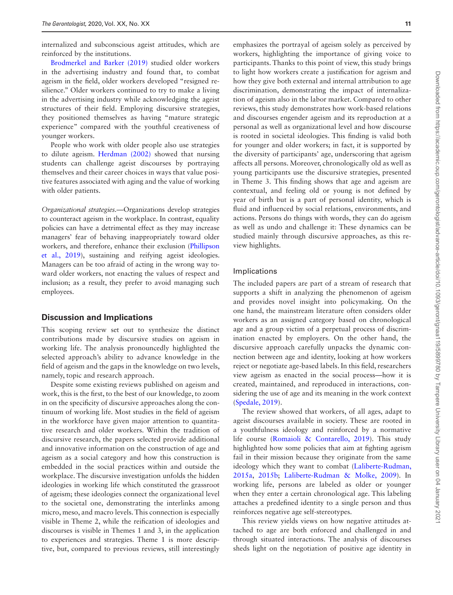internalized and subconscious ageist attitudes, which are reinforced by the institutions.

[Brodmerkel and Barker \(2019\)](#page-12-10) studied older workers in the advertising industry and found that, to combat ageism in the field, older workers developed "resigned resilience." Older workers continued to try to make a living in the advertising industry while acknowledging the ageist structures of their field. Employing discursive strategies, they positioned themselves as having "mature strategic experience" compared with the youthful creativeness of younger workers.

People who work with older people also use strategies to dilute ageism. [Herdman \(2002\)](#page-12-19) showed that nursing students can challenge ageist discourses by portraying themselves and their career choices in ways that value positive features associated with aging and the value of working with older patients.

*Organizational strategies.*—Organizations develop strategies to counteract ageism in the workplace. In contrast, equality policies can have a detrimental effect as they may increase managers' fear of behaving inappropriately toward older workers, and therefore, enhance their exclusion ([Phillipson](#page-13-27)  [et al., 2019\)](#page-13-27), sustaining and reifying ageist ideologies. Managers can be too afraid of acting in the wrong way toward older workers, not enacting the values of respect and inclusion; as a result, they prefer to avoid managing such employees.

#### **Discussion and Implications**

This scoping review set out to synthesize the distinct contributions made by discursive studies on ageism in working life. The analysis pronouncedly highlighted the selected approach's ability to advance knowledge in the field of ageism and the gaps in the knowledge on two levels, namely, topic and research approach.

Despite some existing reviews published on ageism and work, this is the first, to the best of our knowledge, to zoom in on the specificity of discursive approaches along the continuum of working life. Most studies in the field of ageism in the workforce have given major attention to quantitative research and older workers. Within the tradition of discursive research, the papers selected provide additional and innovative information on the construction of age and ageism as a social category and how this construction is embedded in the social practices within and outside the workplace. The discursive investigation unfolds the hidden ideologies in working life which constituted the grassroot of ageism; these ideologies connect the organizational level to the societal one, demonstrating the interlinks among micro, meso, and macro levels. This connection is especially visible in Theme 2, while the reification of ideologies and discourses is visible in Themes 1 and 3, in the application to experiences and strategies. Theme 1 is more descriptive, but, compared to previous reviews, still interestingly

emphasizes the portrayal of ageism solely as perceived by workers, highlighting the importance of giving voice to participants. Thanks to this point of view, this study brings to light how workers create a justification for ageism and how they give both external and internal attribution to age discrimination, demonstrating the impact of internalization of ageism also in the labor market. Compared to other reviews, this study demonstrates how work-based relations and discourses engender ageism and its reproduction at a personal as well as organizational level and how discourse is rooted in societal ideologies. This finding is valid both for younger and older workers; in fact, it is supported by the diversity of participants' age, underscoring that ageism affects all persons. Moreover, chronologically old as well as young participants use the discursive strategies, presented in Theme 3. This finding shows that age and ageism are contextual, and feeling old or young is not defined by year of birth but is a part of personal identity, which is fluid and influenced by social relations, environments, and actions. Persons do things with words, they can do ageism as well as undo and challenge it: These dynamics can be studied mainly through discursive approaches, as this review highlights.

#### Implications

The included papers are part of a stream of research that supports a shift in analyzing the phenomenon of ageism and provides novel insight into policymaking. On the one hand, the mainstream literature often considers older workers as an assigned category based on chronological age and a group victim of a perpetual process of discrimination enacted by employers. On the other hand, the discursive approach carefully unpacks the dynamic connection between age and identity, looking at how workers reject or negotiate age-based labels. In this field, researchers view ageism as enacted in the social process—how it is created, maintained, and reproduced in interactions, considering the use of age and its meaning in the work context ([Spedale, 2019](#page-14-4)).

The review showed that workers, of all ages, adapt to ageist discourses available in society. These are rooted in a youthfulness ideology and reinforced by a normative life course ([Romaioli & Contarello, 2019\)](#page-14-11). This study highlighted how some policies that aim at fighting ageism fail in their mission because they originate from the same ideology which they want to combat [\(Laliberte-Rudman,](#page-13-16)  [2015a,](#page-13-16) [2015b](#page-13-17); [Laliberte-Rudman & Molke, 2009](#page-13-15)). In working life, persons are labeled as older or younger when they enter a certain chronological age. This labeling attaches a predefined identity to a single person and thus reinforces negative age self-stereotypes.

This review yields views on how negative attitudes attached to age are both enforced and challenged in and through situated interactions. The analysis of discourses sheds light on the negotiation of positive age identity in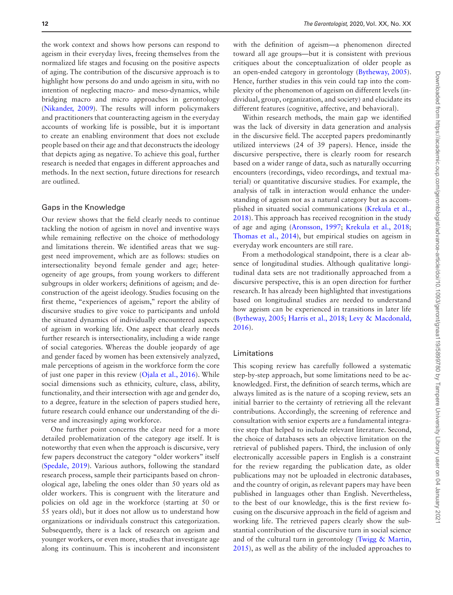the work context and shows how persons can respond to ageism in their everyday lives, freeing themselves from the normalized life stages and focusing on the positive aspects of aging. The contribution of the discursive approach is to highlight how persons do and undo ageism in situ, with no intention of neglecting macro- and meso-dynamics, while bridging macro and micro approaches in gerontology ([Nikander, 2009\)](#page-13-30). The results will inform policymakers and practitioners that counteracting ageism in the everyday accounts of working life is possible, but it is important to create an enabling environment that does not exclude people based on their age and that deconstructs the ideology that depicts aging as negative. To achieve this goal, further research is needed that engages in different approaches and methods. In the next section, future directions for research are outlined.

#### Gaps in the Knowledge

Our review shows that the field clearly needs to continue tackling the notion of ageism in novel and inventive ways while remaining reflective on the choice of methodology and limitations therein. We identified areas that we suggest need improvement, which are as follows: studies on intersectionality beyond female gender and age; heterogeneity of age groups, from young workers to different subgroups in older workers; definitions of ageism; and deconstruction of the ageist ideology. Studies focusing on the first theme, "experiences of ageism," report the ability of discursive studies to give voice to participants and unfold the situated dynamics of individually encountered aspects of ageism in working life. One aspect that clearly needs further research is intersectionality, including a wide range of social categories. Whereas the double jeopardy of age and gender faced by women has been extensively analyzed, male perceptions of ageism in the workforce form the core of just one paper in this review [\(Ojala et al., 2016](#page-13-26)). While social dimensions such as ethnicity, culture, class, ability, functionality, and their intersection with age and gender do, to a degree, feature in the selection of papers studied here, future research could enhance our understanding of the diverse and increasingly aging workforce.

One further point concerns the clear need for a more detailed problematization of the category age itself. It is noteworthy that even when the approach is discursive, very few papers deconstruct the category "older workers" itself ([Spedale, 2019\)](#page-14-4). Various authors, following the standard research process, sample their participants based on chronological age, labeling the ones older than 50 years old as older workers. This is congruent with the literature and policies on old age in the workforce (starting at 50 or 55 years old), but it does not allow us to understand how organizations or individuals construct this categorization. Subsequently, there is a lack of research on ageism and younger workers, or even more, studies that investigate age along its continuum. This is incoherent and inconsistent

with the definition of ageism—a phenomenon directed toward all age groups—but it is consistent with previous critiques about the conceptualization of older people as an open-ended category in gerontology [\(Bytheway, 2005](#page-12-21)). Hence, further studies in this vein could tap into the complexity of the phenomenon of ageism on different levels (individual, group, organization, and society) and elucidate its different features (cognitive, affective, and behavioral).

Within research methods, the main gap we identified was the lack of diversity in data generation and analysis in the discursive field. The accepted papers predominantly utilized interviews (24 of 39 papers). Hence, inside the discursive perspective, there is clearly room for research based on a wider range of data, such as naturally occurring encounters (recordings, video recordings, and textual material) or quantitative discursive studies. For example, the analysis of talk in interaction would enhance the understanding of ageism not as a natural category but as accomplished in situated social communications ([Krekula et al.,](#page-13-31)  [2018](#page-13-31)). This approach has received recognition in the study of age and aging [\(Aronsson, 1997](#page-12-22); [Krekula et al., 2018](#page-13-31); [Thomas et al., 2014](#page-14-15)), but empirical studies on ageism in everyday work encounters are still rare.

From a methodological standpoint, there is a clear absence of longitudinal studies. Although qualitative longitudinal data sets are not traditionally approached from a discursive perspective, this is an open direction for further research. It has already been highlighted that investigations based on longitudinal studies are needed to understand how ageism can be experienced in transitions in later life ([Bytheway, 2005;](#page-12-21) [Harris et al., 2018](#page-12-2); [Levy & Macdonald,](#page-13-6)  [2016](#page-13-6)).

#### Limitations

This scoping review has carefully followed a systematic step-by-step approach, but some limitations need to be acknowledged. First, the definition of search terms, which are always limited as is the nature of a scoping review, sets an initial barrier to the certainty of retrieving all the relevant contributions. Accordingly, the screening of reference and consultation with senior experts are a fundamental integrative step that helped to include relevant literature. Second, the choice of databases sets an objective limitation on the retrieval of published papers. Third, the inclusion of only electronically accessible papers in English is a constraint for the review regarding the publication date, as older publications may not be uploaded in electronic databases, and the country of origin, as relevant papers may have been published in languages other than English. Nevertheless, to the best of our knowledge, this is the first review focusing on the discursive approach in the field of ageism and working life. The retrieved papers clearly show the substantial contribution of the discursive turn in social science and of the cultural turn in gerontology (Twigg  $\&$  Martin, [2015](#page-14-16)), as well as the ability of the included approaches to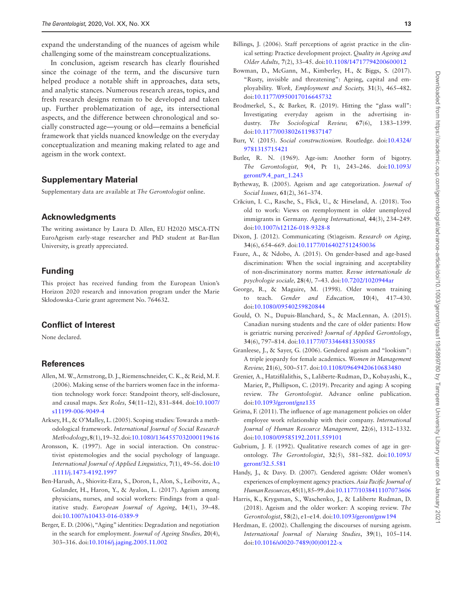expand the understanding of the nuances of ageism while challenging some of the mainstream conceptualizations.

In conclusion, ageism research has clearly flourished since the coinage of the term, and the discursive turn helped produce a notable shift in approaches, data sets, and analytic stances. Numerous research areas, topics, and fresh research designs remain to be developed and taken up. Further problematization of age, its intersectional aspects, and the difference between chronological and socially constructed age—young or old—remains a beneficial framework that yields nuanced knowledge on the everyday conceptualization and meaning making related to age and ageism in the work context.

## **Supplementary Material**

Supplementary data are available at *The Gerontologist* online.

## **Acknowledgments**

The writing assistance by Laura D. Allen, EU H2020 MSCA-ITN EuroAgeism early-stage researcher and PhD student at Bar-Ilan University, is greatly appreciated.

# **Funding**

This project has received funding from the European Union's Horizon 2020 research and innovation program under the Marie Skłodowska-Curie grant agreement No. 764632.

# **Conflict of Interest**

None declared.

### **References**

- <span id="page-12-5"></span>Allen, M. W., Armstrong, D. J., Riemenschneider, C. K., & Reid, M. F. (2006). Making sense of the barriers women face in the information technology work force: Standpoint theory, self-disclosure, and causal maps. *Sex Roles,* **54**(11–12), 831–844. doi:[10.1007/](https://doi.org/10.1007/s11199-006-9049-4) [s11199-006-9049-4](https://doi.org/10.1007/s11199-006-9049-4)
- <span id="page-12-3"></span>Arksey, H., & O'Malley, L. (2005). Scoping studies: Towards a methodological framework. *International Journal of Social Research Methodology*, **8**(1), 19–32. doi:[10.1080/1364557032000119616](https://doi.org/10.1080/1364557032000119616)
- <span id="page-12-22"></span>Aronsson, K. (1997). Age in social interaction. On constructivist epistemologies and the social psychology of language. *International Journal of Applied Linguistics,* **7**(1), 49–56. doi:[10](https://doi.org/10.1111/j.1473-4192.1997) [.1111/j.1473-4192.1997](https://doi.org/10.1111/j.1473-4192.1997)
- <span id="page-12-6"></span>Ben-Harush, A., Shiovitz-Ezra, S., Doron, I., Alon, S., Leibovitz, A., Golander, H., Haron, Y., & Ayalon, L. (2017). Ageism among physicians, nurses, and social workers: Findings from a qualitative study. *European Journal of Ageing*, **14**(1), 39–48. doi:[10.1007/s10433-016-0389-9](https://doi.org/10.1007/s10433-016-0389-9)
- <span id="page-12-7"></span>Berger, E. D. (2006), "Aging" identities: Degradation and negotiation in the search for employment. *Journal of Ageing Studies,* **20**(4), 303–316. doi:[10.1016/j.jaging.2005.11.002](https://doi.org/10.1016/j.jaging.2005.11.002)
- <span id="page-12-8"></span>Billings, J. (2006). Staff perceptions of ageist practice in the clinical setting: Practice development project. *Quality in Ageing and Older Adults,* **7**(2), 33–45. doi:[10.1108/14717794200600012](https://doi.org/10.1108/14717794200600012)
- <span id="page-12-9"></span>Bowman, D., McGann, M., Kimberley, H., & Biggs, S. (2017). "Rusty, invisible and threatening": Ageing, capital and employability. *Work, Employment and Society,* **31**(3), 465–482. doi:[10.1177/0950017016645732](https://doi.org/10.1177/0950017016645732)
- <span id="page-12-10"></span>Brodmerkel, S., & Barker, R. (2019). Hitting the "glass wall": Investigating everyday ageism in the advertising industry. *The Sociological Review,* **67**(6), 1383–1399. doi:[10.1177/0038026119837147](https://doi.org/10.1177/0038026119837147)
- <span id="page-12-20"></span>Burr, V. (2015). *Social constructionism.* Routledge. doi:[10.4324/](https://doi.org/10.4324/9781315715421) [9781315715421](https://doi.org/10.4324/9781315715421)
- <span id="page-12-0"></span>Butler, R. N. (1969). Age-ism: Another form of bigotry. *The Gerontologist,* **9**(4, Pt 1), 243–246. doi:[10.1093/](https://doi.org/10.1093/geront/9.4_part_1.243) [geront/9.4\\_part\\_1.243](https://doi.org/10.1093/geront/9.4_part_1.243)
- <span id="page-12-21"></span>Bytheway, B. (2005). Ageism and age categorization. *Journal of Social Issues,* **61**(2), 361–374.
- <span id="page-12-11"></span>Crăciun, I. C., Rasche, S., Flick, U., & Hirseland, A. (2018). Too old to work: Views on reemployment in older unemployed immigrants in Germany. *Ageing International,* **44**(3), 234–249. doi:[10.1007/s12126-018-9328-8](https://doi.org/10.1007/s12126-018-9328-8)
- <span id="page-12-12"></span>Dixon, J. (2012). Communicating (St)ageism. *Research on Aging,* **34**(6), 654–669. doi:[10.1177/0164027512450036](https://doi.org/10.1177/0164027512450036)
- <span id="page-12-13"></span>Faure, A., & Ndobo, A. (2015). On gender-based and age-based discrimination: When the social ingraining and acceptability of non-discriminatory norms matter. *Revue internationale de psychologie sociale,* **28**(4*),* 7–43. doi[:10.7202/1020944ar](https://doi.org/10.7202/1020944ar)
- <span id="page-12-14"></span>George, R., & Maguire, M. (1998). Older women training to teach. *Gender and Education,* **10**(4), 417–430. doi:[10.1080/09540259820844](https://doi.org/10.1080/09540259820844)
- <span id="page-12-15"></span>Gould, O. N., Dupuis-Blanchard, S., & MacLennan, A. (2015). Canadian nursing students and the care of older patients: How is geriatric nursing perceived? *Journal of Applied Gerontology*, **34**(6), 797–814. doi:[10.1177/0733464813500585](https://doi.org/10.1177/0733464813500585)
- <span id="page-12-16"></span>Granleese, J., & Sayer, G. (2006). Gendered ageism and "lookism": A triple jeopardy for female academics. *Women in Management Review,* **21**(6), 500–517. doi:[10.1108/09649420610683480](https://doi.org/10.1108/09649420610683480)
- <span id="page-12-4"></span>Grenier, A., Hatzifilalithis, S., Laliberte-Rudman, D., Kobayashi, K., Marier, P., Phillipson, C. (2019). Precarity and aging: A scoping review. *The Gerontologist.* Advance online publication. doi:[10.1093/geront/gnz135](https://doi.org/10.1093/geront/gnz135)
- <span id="page-12-17"></span>Grima, F. (2011). The influence of age management policies on older employee work relationship with their company. *International Journal of Human Resource Management,* **22**(6), 1312–1332. doi:[10.1080/09585192.2011.559101](https://doi.org/10.1080/09585192.2011.559101)
- <span id="page-12-1"></span>Gubrium, J. F. (1992). Qualitative research comes of age in gerontology. *The Gerontologist*, **32**(5), 581–582. doi:[10.1093/](https://doi.org/10.1093/geront/32.5.581) [geront/32.5.581](https://doi.org/10.1093/geront/32.5.581)
- <span id="page-12-18"></span>Handy, J., & Davy. D. (2007). Gendered ageism: Older women's experiences of employment agency practices. *Asia Pacific Journal of Human Resources,***45**(1), 85–99. doi[:10.1177/1038411107073606](https://doi.org/10.1177/1038411107073606)
- <span id="page-12-2"></span>Harris, K., Krygsman, S., Waschenko, J., & Laliberte Rudman, D. (2018). Ageism and the older worker: A scoping review. *The Gerontologist*, **58**(2), e1–e14. doi:[10.1093/geront/gnw194](https://doi.org/10.1093/geront/gnw194)
- <span id="page-12-19"></span>Herdman, E. (2002). Challenging the discourses of nursing ageism. *International Journal of Nursing Studies*, **39**(1), 105–114. doi:[10.1016/s0020-7489\(00\)00122-x](https://doi.org/10.1016/s0020-7489(00)00122-x)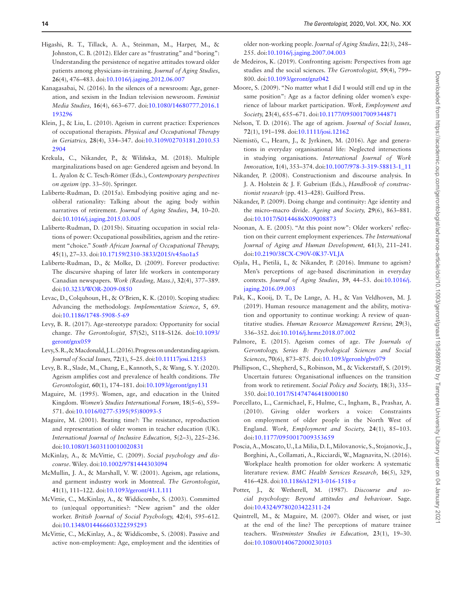- <span id="page-13-12"></span>Higashi, R. T., Tillack, A. A., Steinman, M., Harper, M., & Johnston, C. B. (2012). Elder care as "frustrating" and "boring": Understanding the persistence of negative attitudes toward older patients among physicians-in-training. *Journal of Aging Studies*, **26**(4), 476–483. doi:[10.1016/j.jaging.2012.06.007](https://doi.org/10.1016/j.jaging.2012.06.007)
- <span id="page-13-13"></span>Kanagasabai, N. (2016). In the silences of a newsroom: Age, generation, and sexism in the Indian television newsroom. *Feminist Media Studies,* **16**(4), 663–677. doi[:10.1080/14680777.2016.1](https://doi.org/10.1080/14680777.2016.1193296) [193296](https://doi.org/10.1080/14680777.2016.1193296)
- <span id="page-13-14"></span>Klein, J., & Liu, L. (2010). Ageism in current practice: Experiences of occupational therapists. *Physical and Occupational Therapy in Geriatrics,* **28**(4), 334–347. doi:[10.3109/02703181.2010.53](https://doi.org/10.3109/02703181.2010.532904) [2904](https://doi.org/10.3109/02703181.2010.532904)
- <span id="page-13-31"></span>Krekula, C., Nikander, P., & Wilińska, M. (2018). Multiple marginalizations based on age: Gendered ageism and beyond. In L. Ayalon & C. Tesch-Römer (Eds.), *Contemporary perspectives on ageism* (pp. 33–50). Springer.
- <span id="page-13-16"></span>Laliberte-Rudman, D. (2015a). Embodying positive aging and neoliberal rationality: Talking about the aging body within narratives of retirement. *Journal of Aging Studies*, **34**, 10–20. doi:[10.1016/j.jaging.2015.03.005](https://doi.org/10.1016/j.jaging.2015.03.005)
- <span id="page-13-17"></span>Laliberte-Rudman, D. (2015b). Situating occupation in social relations of power: Occupational possibilities, ageism and the retirement "choice." *South African Journal of Occupational Therapy,* **45**(1), 27–33. doi:[10.17159/2310-3833/2015/v45no1a5](https://doi.org/10.17159/2310-3833/2015/v45no1a5)
- <span id="page-13-15"></span>Laliberte-Rudman, D., & Molke, D. (2009). Forever productive: The discursive shaping of later life workers in contemporary Canadian newspapers. *Work (Reading, Mass.)*, **32**(4), 377–389. doi:[10.3233/WOR-2009-0850](https://doi.org/10.3233/WOR-2009-0850)
- <span id="page-13-10"></span>Levac, D., Colquhoun, H., & O'Brien, K. K. (2010). Scoping studies: Advancing the methodology. *Implementation Science*, **5**, 69. doi:[10.1186/1748-5908-5-69](https://doi.org/10.1186/1748-5908-5-69)
- <span id="page-13-1"></span>Levy, B. R. (2017). Age-stereotype paradox: Opportunity for social change. *The Gerontologist,* **57**(S2), S118–S126. doi:[10.1093/](https://doi.org/10.1093/geront/gnx059) [geront/gnx059](https://doi.org/10.1093/geront/gnx059)
- <span id="page-13-6"></span>Levy, S. R., & Macdonald, J. L. (2016). Progress on understanding ageism. *Journal of Social Issues,* **72**(1), 5–25. doi[:10.11117josi.12153](https://doi.org/10.11117josi.12153)
- <span id="page-13-3"></span>Levy, B. R., Slade, M., Chang, E., Kannoth, S., & Wang, S. Y. (2020). Ageism amplifies cost and prevalence of health conditions. *The Gerontologist,* **60**(1), 174–181. doi[:10.1093/geront/gny131](https://doi.org/10.1093/geront/gny131)
- <span id="page-13-18"></span>Maguire, M. (1995). Women, age, and education in the United Kingdom. *Women's Studies International Forum,* **18**(5–6), 559– 571. doi[:10.1016/0277-5395\(95\)80093-5](https://doi.org/10.1016/0277-5395(95)80093-5)
- <span id="page-13-19"></span>Maguire, M. (2001). Beating time?: The resistance, reproduction and representation of older women in teacher education (UK). *International Journal of Inclusive Education,* **5**(2–3), 225–236. doi:[10.1080/13603110010020831](https://doi.org/10.1080/13603110010020831)
- <span id="page-13-11"></span>McKinlay, A., & McVittie, C. (2009). *Social psychology and discourse*. Wiley. doi[:10.1002/9781444303094](https://doi.org/10.1002/9781444303094)
- <span id="page-13-20"></span>McMullin, J. A., & Marshall, V. W. (2001). Ageism, age relations, and garment industry work in Montreal. *The Gerontologist*, **41**(1), 111–122. doi:[10.1093/geront/41.1.111](https://doi.org/10.1093/geront/41.1.111)
- <span id="page-13-21"></span>McVittie, C., McKinlay, A., & Widdicombe, S. (2003). Committed to (un)equal opportunities?: "New ageism" and the older worker. *British Journal of Social Psychology,* **42**(4), 595–612. doi:[10.1348/014466603322595293](https://doi.org/10.1348/014466603322595293)
- <span id="page-13-22"></span>McVittie, C., McKinlay, A., & Widdicombe, S. (2008). Passive and active non-employment: Age, employment and the identities of

older non-working people. *Journal of Aging Studies,* **22**(3), 248– 255. doi[:10.1016/j.jaging.2007.04.003](https://doi.org/10.1016/j.jaging.2007.04.003)

- <span id="page-13-0"></span>de Medeiros, K. (2019). Confronting ageism: Perspectives from age studies and the social sciences. *The Gerontologist,* **59**(4), 799– 800. doi[:10.1093/geront/gnz042](https://doi.org/10.1093/geront/gnz042)
- <span id="page-13-23"></span>Moore, S. (2009). "No matter what I did I would still end up in the same position": Age as a factor defining older women's experience of labour market participation. *Work, Employment and Society,* **23**(4), 655–671. doi:[10.1177/0950017009344871](https://doi.org/10.1177/0950017009344871)
- <span id="page-13-7"></span>Nelson, T. D. (2016). The age of ageism. *Journal of Social Issues,* **72**(1), 191–198. doi:[10.1111/josi.12162](https://doi.org/10.1111/josi.12162)
- <span id="page-13-24"></span>Niemistö, C., Hearn, J., & Jyrkinen, M. (2016). Age and generations in everyday organisational life: Neglected intersections in studying organisations. *International Journal of Work Innovation,* **1**(4), 353–374. doi[:10.1007/978-3-319-58813-1\\_11](https://doi.org/10.1007/978-3-319-58813-1_11)
- <span id="page-13-5"></span>Nikander, P. (2008). Constructionism and discourse analysis. In J. A. Holstein & J. F. Gubrium (Eds.), *Handbook of constructionist research* (pp. 413–428). Guilford Press.
- <span id="page-13-30"></span>Nikander, P. (2009). Doing change and continuity: Age identity and the micro–macro divide. *Ageing and Society,* **29**(6), 863–881. doi:[10.1017/S0144686X09008873](https://doi.org/10.1017/S0144686X09008873)
- <span id="page-13-25"></span>Noonan, A. E. (2005). "At this point now": Older workers' reflection on their current employment experiences. *The International Journal of Aging and Human Development,* **61**(3), 211–241. doi:[10.2190/38CX-C90V-0K37-VLJA](https://doi.org/10.2190/38CX-C90V-0K37-VLJA)
- <span id="page-13-26"></span>Ojala, H., Pietilä, I., & Nikander, P. (2016). Immune to ageism? Men's perceptions of age-based discrimination in everyday contexts. *Journal of Aging Studies*, **39**, 44–53. doi[:10.1016/j.](https://doi.org/10.1016/j.jaging.2016.09.003) [jaging.2016.09.003](https://doi.org/10.1016/j.jaging.2016.09.003)
- <span id="page-13-8"></span>Pak, K., Kooij, D. T., De Lange, A. H., & Van Veldhoven, M. J. (2019). Human resource management and the ability, motivation and opportunity to continue working: A review of quantitative studies. *Human Resource Management Review,* **29**(3), 336–352. doi:[10.1016/j.hrmr.2018.07.002](https://doi.org/10.1016/j.hrmr.2018.07.002)
- <span id="page-13-2"></span>Palmore, E. (2015). Ageism comes of age. *The Journals of Gerontology, Series B: Psychological Sciences and Social Sciences*, **70**(6), 873–875. doi:[10.1093/geronb/gbv079](https://doi.org/10.1093/geronb/gbv079)
- <span id="page-13-27"></span>Phillipson, C., Shepherd, S., Robinson, M., & Vickerstaff, S. (2019). Uncertain futures: Organisational influences on the transition from work to retirement. *Social Policy and Society,* **18**(3), 335– 350. doi[:10.1017/S1474746418000180](https://doi.org/10.1017/S1474746418000180)
- <span id="page-13-28"></span>Porcellato, L., Carmichael, F., Hulme, C., Ingham, B., Prashar, A. (2010). Giving older workers a voice: Constraints on employment of older people in the North West of England. *Work, Employment and Society,* **24**(1), 85–103. doi[:10.1177/0950017009353659](https://doi.org/10.1177/0950017009353659)
- <span id="page-13-9"></span>Poscia, A., Moscato, U., La Milia, D. I., Milovanovic, S., Stojanovic, J., Borghini, A., Collamati, A., Ricciardi, W., Magnavita, N. (2016). Workplace health promotion for older workers: A systematic literature review. *BMC Health Services Research,* **16**(5), 329, 416–428. doi:[10.1186/s12913-016-1518-z](https://doi.org/10.1186/s12913-016-1518-z)
- <span id="page-13-4"></span>Potter, J., & Wetherell, M. (1987). *Discourse and social psychology: Beyond attitudes and behaviour*. Sage. doi:[10.4324/9780203422311-24](https://doi.org/10.4324/9780203422311-24)
- <span id="page-13-29"></span>Quintrell, M., & Maguire, M. (2007). Older and wiser, or just at the end of the line? The perceptions of mature trainee teachers. *Westminster Studies in Education,* **23**(1), 19–30. doi:[10.1080/0140672000230103](https://doi.org/10.1080/0140672000230103)